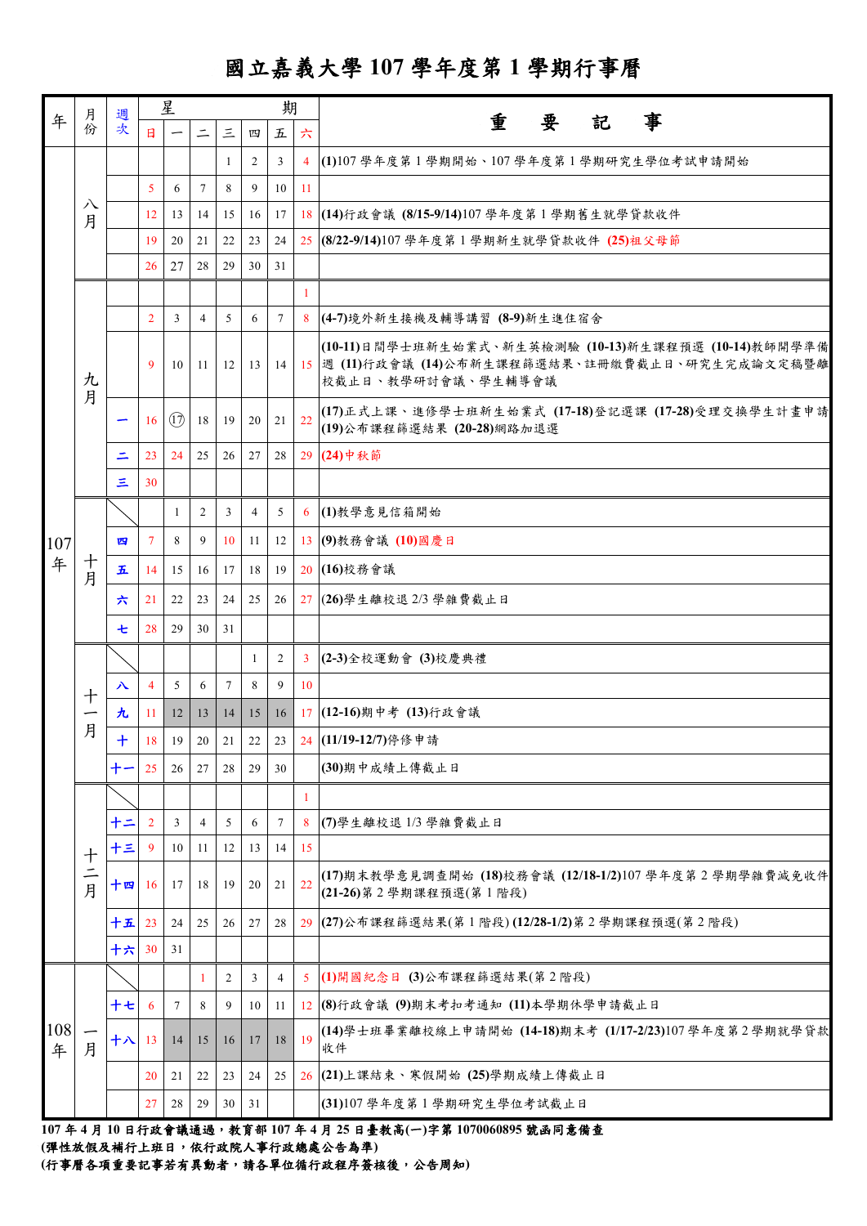## 國立嘉義大學 **107** 學年度第 **1** 學期行事曆

| 年        | 月份               |          | 星              |      |                | 期            |                |                 |                | 事                                                                                                                                 |
|----------|------------------|----------|----------------|------|----------------|--------------|----------------|-----------------|----------------|-----------------------------------------------------------------------------------------------------------------------------------|
|          |                  | 週次       | $\mathbf{H}$   |      | $\equiv$       | 三            | 四              | 五               | 六              | 要<br>重<br>記                                                                                                                       |
|          |                  |          |                |      |                | -1           | $\overline{2}$ | 3               | $\overline{4}$ | (1)107學年度第1學期開始、107學年度第1學期研究生學位考試申請開始                                                                                             |
|          |                  |          | $\mathfrak{S}$ | 6    | $\tau$         | 8            | 9              | 10              | 11             |                                                                                                                                   |
|          | 八<br>月           |          | 12             | 13   | 14             | 15           | 16             | 17              |                | 18 (14)行政會議 (8/15-9/14)107 學年度第1學期舊生就學貸款收件                                                                                        |
|          |                  |          | 19             | 20   | 21             | 22           | 23             | 24              |                | 25 (8/22-9/14)107 學年度第1學期新生就學貸款收件 (25)祖父母節                                                                                        |
|          |                  |          | 26             | 27   | 28             | 29           | 30             | 31              |                |                                                                                                                                   |
|          |                  |          |                |      |                |              |                |                 | $\mathbf{1}$   |                                                                                                                                   |
|          |                  |          | $\overline{2}$ | 3    | $\overline{4}$ | 5            | 6              | $7\overline{ }$ |                | 8 (4-7)境外新生接機及輔導講習 (8-9)新生進住宿舍                                                                                                    |
|          | 九                |          | 9              | 10   | -11            | 12           | $\frac{13}{2}$ |                 |                | (10-11)日間學士班新生始業式、新生英檢測驗 (10-13)新生課程預選 (10-14)教師開學準備<br>14 15 週 (11)行政會議 (14)公布新生課程篩選結果、註冊繳費截止日、研究生完成論文定稿暨離<br>校截止日、教學研討會議、學生輔導會議 |
|          | 月                |          | 16             | (17) | 18             | 19           | 20             | 21              | 22             | (17)正式上課、進修學士班新生始業式 (17-18)登記選課 (17-28)受理交換學生計畫申請<br>(19)公布課程篩選結果 (20-28)網路加退選                                                    |
|          |                  | Ξ        | 23             | 24   | 25             | 26           | 27             | 28              |                | 29 (24) 中秋節                                                                                                                       |
|          |                  | $\equiv$ | 30             |      |                |              |                |                 |                |                                                                                                                                   |
|          |                  |          |                | 1    | $\overline{2}$ | $\mathbf{3}$ | $\overline{4}$ | 5 <sup>5</sup>  |                | 6 (1)教學意見信箱開始                                                                                                                     |
| 107      |                  | 四        | $\tau$         | 8    | 9              | 10           | 11             | 12              |                | 13 (9)教務會議 (10)國慶日                                                                                                                |
| 年        | 十<br>月           | 五        | 14             | 15   | 16             | 17           | 18             | 19              |                | 20 (16)校務會議                                                                                                                       |
|          |                  | 六        | 21             | 22   | 23             | 24           | 25             | 26              |                | 27 (26) 學生離校退 2/3 學雜費截止日                                                                                                          |
|          |                  | 七        | 28             | 29   | 30             | 31           |                |                 |                |                                                                                                                                   |
|          |                  |          |                |      |                |              | $\mathbf{1}$   | $\overline{2}$  | $\mathbf{3}$   | (2-3)全校運動會 (3)校慶典禮                                                                                                                |
|          | 十<br>月           | 八        | $\overline{4}$ | 5    | 6              | $\tau$       | 8              | 9               | 10             |                                                                                                                                   |
|          |                  | 九        | -11            | 12   | 13             | 14           | 15             | 16              |                | 17 (12-16)期中考 (13)行政會議                                                                                                            |
|          |                  | $+$      | 18             | 19   | 20             | 21           | 22             | 23              |                | 24 (11/19-12/7)停修申請                                                                                                               |
|          |                  | 十一       | 25             | 26   | 27             | 28           | 29             | 30              |                | (30)期中成績上傳截止日                                                                                                                     |
|          |                  |          |                |      |                |              |                |                 | 1              |                                                                                                                                   |
|          | $\boldsymbol{+}$ | 十二       | $\overline{2}$ | 3    | $\overline{4}$ | 5            | 6              | $\tau$          | 8              | (7)學生離校退1/3學雜費截止日                                                                                                                 |
|          |                  | 十三       | -9             | 10   | 11             | 12           | 13             | 14              | 15             |                                                                                                                                   |
|          | 二月               | 十四       | -16            | 17   | 18             | 19           | 20             | 21              | 22             | (17)期末教學意見調查開始 (18)校務會議 (12/18-1/2)107 學年度第2學期學雜費減免收件<br>(21-26)第2學期課程預選(第1階段)                                                    |
|          |                  | 十五       | 23             | 24   | 25             | 26           | 27             | 28              |                | 29 (27)公布課程篩選結果(第1階段)(12/28-1/2)第2學期課程預選(第2階段)                                                                                    |
|          |                  | 十六       | 30             | 31   |                |              |                |                 |                |                                                                                                                                   |
|          |                  |          |                |      | 1              | 2            | 3              | 4               | 5              | (1)開國紀念日 (3)公布課程篩選結果(第2階段)                                                                                                        |
|          |                  | 十七       | -6             | 7    | 8              | 9            | 10             | 11              |                | 12 (8)行政會議 (9)期末考扣考通知 (11)本學期休學申請截止日                                                                                              |
| 108<br>年 | 月                | 十八       | 13             | 14   | 15             | 16           | 17             | 18              | 19             | (14)學士班畢業離校線上申請開始 (14-18)期末考 (1/17-2/23)107學年度第2學期就學貸款<br>收件                                                                      |
|          |                  |          | 20             | 21   | 22             | 23           | 24             | 25              |                | 26 (21)上課結束、寒假開始 (25)學期成績上傳截止日                                                                                                    |
|          |                  |          | 27             | 28   | 29             | 30           | 31             |                 |                | (31)107 學年度第1學期研究生學位考試截止日                                                                                                         |
|          |                  |          |                |      |                |              |                |                 |                |                                                                                                                                   |

**107** 年 **4** 月 **10** 日行政會議通過,教育部 **107** 年 **4** 月 **25** 日臺教高**(**一**)**字第 **1070060895** 號函同意備查

**(**彈性放假及補行上班日,依行政院人事行政總處公告為準**)**

**(**行事曆各項重要記事若有異動者,請各單位循行政程序簽核後,公告周知**)**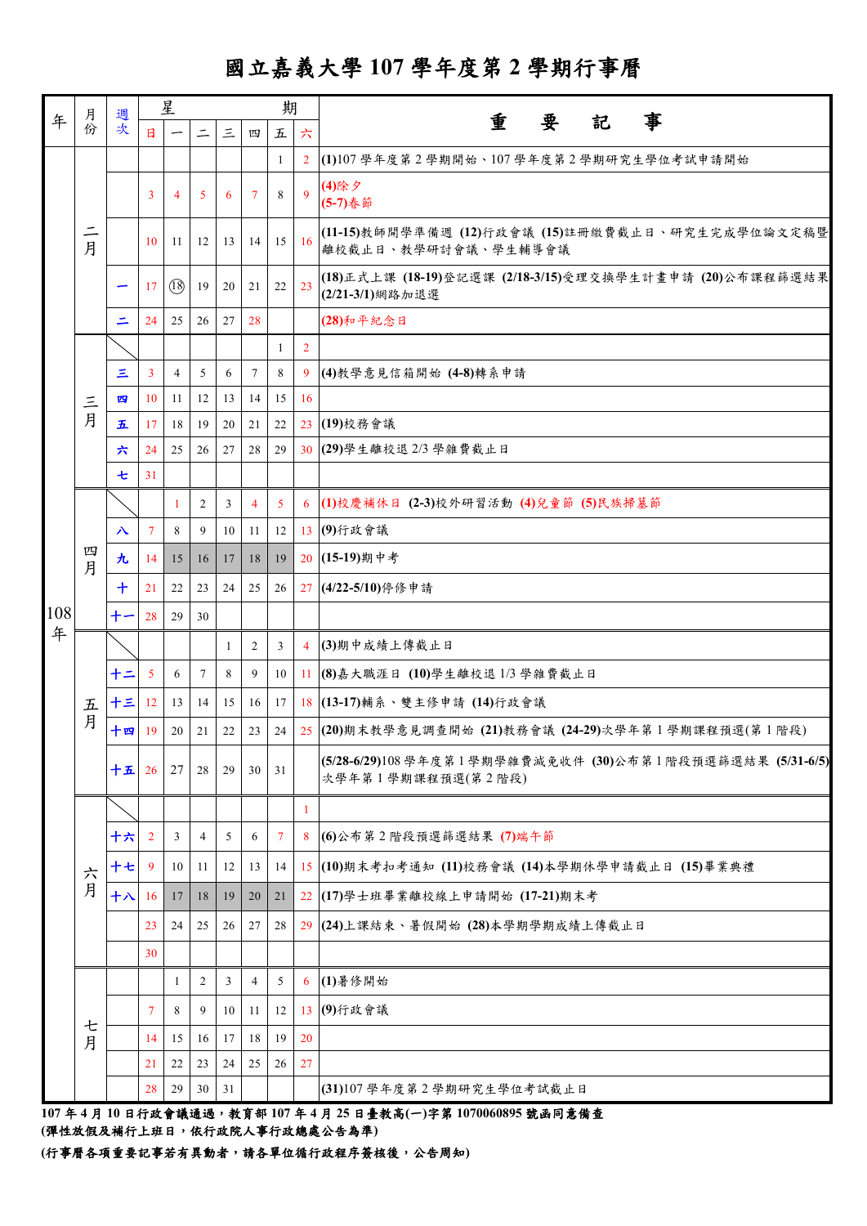## 國立嘉義大學 **107** 學年度第 **2** 學期行事曆

|     |               |          | 星              |                          |                |           |                | 期                                                      |                |                                                                                |
|-----|---------------|----------|----------------|--------------------------|----------------|-----------|----------------|--------------------------------------------------------|----------------|--------------------------------------------------------------------------------|
| 年   | 月份            | 週次       | $\mathbf{H}$   | $\overline{\phantom{m}}$ | $\equiv$       | $\Xi$     | 四              | $\mathcal{\mathcal{\mathcal{\mathcal{\mathcal{L}}}}}=$ | 六              | 重<br>事<br>要<br>記                                                               |
|     |               |          |                |                          |                |           |                | -1                                                     |                | 2 (1)107學年度第2學期開始、107學年度第2學期研究生學位考試申請開始                                        |
|     |               |          | 3              | $\overline{4}$           | 5              | 6         | 7              | 8                                                      | $\mathbf{Q}$   | (4)除夕<br>(5-7)春節                                                               |
|     | $\equiv$<br>月 |          | 10             | 11                       | 12             | 13        | 14             |                                                        | $15 \ 16$      | (11-15)教師開學準備週 (12)行政會議 (15)註冊繳費截止日、研究生完成學位論文定稿暨<br>離校截止日、教學研討會議、學生輔導會議        |
|     |               |          | 17             | (18)                     | 19             | 20        | 21             | 22                                                     | 23             | (18)正式上課 (18-19)登記選課 (2/18-3/15)受理交換學生計畫申請 (20)公布課程篩選結果<br>(2/21-3/1)網路加退選     |
|     |               | ⋍        | 24             | 25                       | 26             | $27 \mid$ | 28             |                                                        |                | (28)和平紀念日                                                                      |
|     |               |          |                |                          |                |           |                | -1                                                     | $\overline{2}$ |                                                                                |
|     |               | Ξ        | $\mathbf{3}$   | $\overline{4}$           | 5              | 6         | $\tau$         | 8                                                      |                | 9 (4)教學意見信箱開始 (4-8)轉系申請                                                        |
|     | 三月            | 四        | 10             | 11                       | 12             | 13        | 14             | 15                                                     | 16             |                                                                                |
|     |               | 五        | 17             | 18                       | 19             | 20        | 21             | 22                                                     |                | 23 (19)校務會議                                                                    |
|     |               | 六        | 24             | 25                       | 26             | 27        | 28             | 29                                                     |                | 30 (29) 學生離校退 2/3 學雜費截止日                                                       |
|     |               | 七        | 31             |                          |                |           |                |                                                        |                |                                                                                |
|     |               |          |                | $\mathbf{1}$             | 2              | 3         | $\overline{4}$ | 5                                                      |                | 6 (1)校慶補休日 (2-3)校外研習活動 (4)兒童節 (5)民族掃墓節                                         |
|     |               | 入        | $\tau$         | 8                        | 9              | 10        | 11             | 12                                                     |                | 13 (9)行政會議                                                                     |
|     | 四<br>月        | 九        | 14             | 15                       | 16             | 17        | 18             | 19                                                     |                | 20 (15-19)期中考                                                                  |
|     |               | $\bm{+}$ | 21             | 22                       | 23             | 24        | 25             | 26                                                     |                | 27 (4/22-5/10)停修申請                                                             |
| 108 |               | $+-$     | 28             | 29                       | 30             |           |                |                                                        |                |                                                                                |
| 年   |               |          |                |                          |                | 1         | 2              | 3                                                      |                | 4 (3)期中成績上傳截止日                                                                 |
|     |               | 十二       | $\mathfrak{S}$ | 6                        | $\tau$         | 8         | 9              | 10                                                     |                | 11 (8) 嘉大職涯日 (10) 學生離校退 1/3 學雜費截止日                                             |
|     | 五             | 十三       | 12             | 13                       | 14             | 15        | 16             | 17                                                     |                | 18 (13-17)輔系、雙主修申請 (14)行政會議                                                    |
|     | 月             | 十四       | 19             | 20                       | 21             | 22        | 23             | 24                                                     |                | 25 (20)期末教學意見調查開始 (21)教務會議 (24-29)次學年第1學期課程預選(第1階段)                            |
|     |               | 十五       | 26             | 27                       | 28             | 29        | 30             | 31                                                     |                | (5/28-6/29)108 學年度第1學期學雜費減免收件 (30)公布第1階段預選篩選結果 (5/31-6/5)<br>次學年第1學期課程預選(第2階段) |
|     |               |          |                |                          |                |           |                |                                                        | -1             |                                                                                |
|     |               | 十六       | 2              | 3                        | $\overline{4}$ | 5         | 6              | $7\phantom{.0}$                                        |                | 8 (6)公布第2階段預選篩選結果 (7)端午節                                                       |
|     | 六             | 十七       | 9              | 10                       | 11             | 12        | 13             | 14                                                     |                | 15 (10)期末考扣考通知 (11)校務會議 (14)本學期休學申請截止日 (15)畢業典禮                                |
|     | 月             | 十八       | 16             | 17                       | 18             | 19        | 20             | 21                                                     |                | 22 (17) 學士班畢業離校線上申請開始 (17-21) 期末考                                              |
|     |               |          | 23             | 24                       | 25             | 26        | 27             | 28                                                     |                | 29 (24)上課結束、暑假開始 (28)本學期學期成績上傳截止日                                              |
|     |               |          | 30             |                          |                |           |                |                                                        |                |                                                                                |
|     |               |          |                | 1                        | 2              | 3         | $\overline{4}$ | 5                                                      |                | 6 (1)暑修開始                                                                      |
|     |               |          | $\overline{7}$ | 8                        | 9              | 10        | 11             | 12                                                     |                | 13 (9)行政會議                                                                     |
|     | 七<br>月        |          | 14             | 15                       | 16             | 17        | 18             | 19                                                     | 20             |                                                                                |
|     |               |          | 21             | 22                       | 23             | 24        | 25             | 26                                                     | 27             |                                                                                |
|     |               |          | 28             | 29                       | 30             | 31        |                |                                                        |                | (31)107 學年度第2學期研究生學位考試截止日                                                      |

**107** 年 **4** 月 **10** 日行政會議通過,教育部 **107** 年 **4** 月 **25** 日臺教高**(**一**)**字第 **1070060895** 號函同意備查 **(**彈性放假及補行上班日,依行政院人事行政總處公告為準**)**

**(**行事曆各項重要記事若有異動者,請各單位循行政程序簽核後,公告周知**)**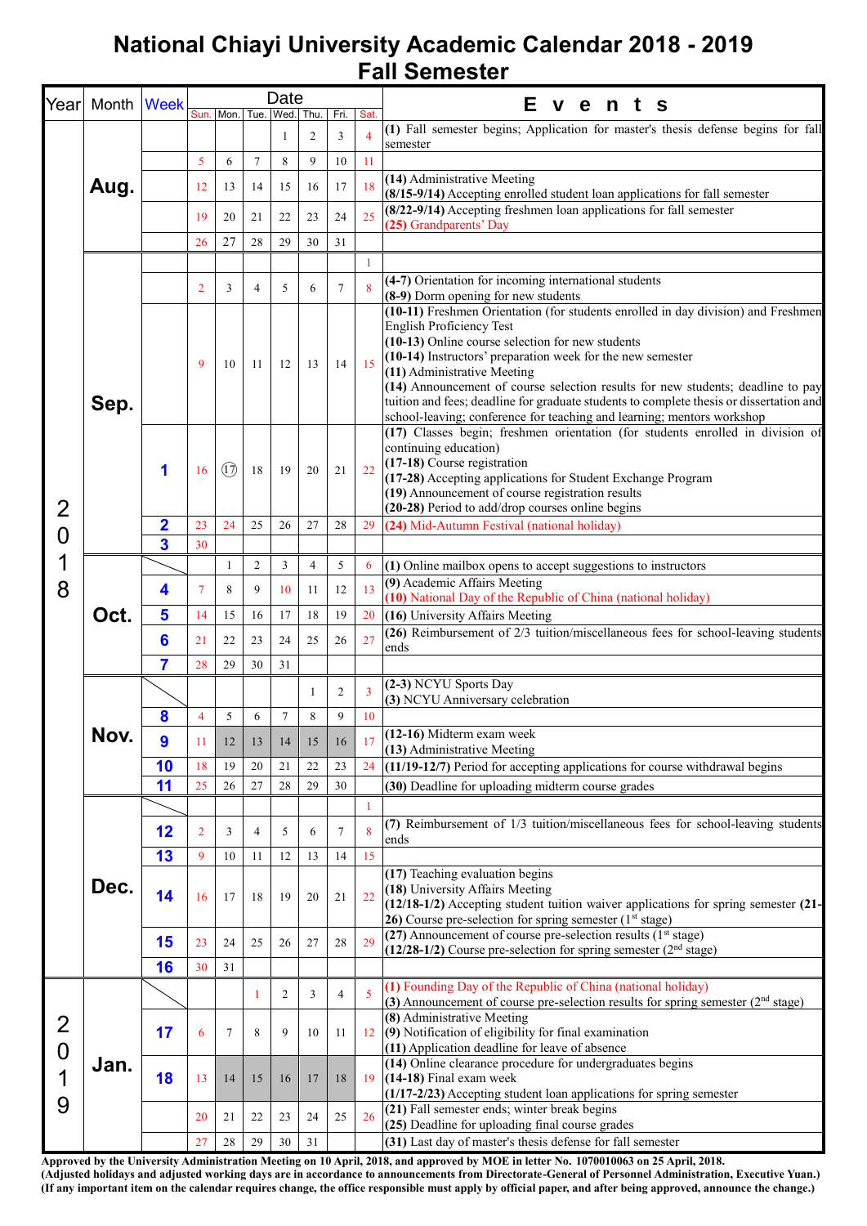## **National Chiayi University Academic Calendar 2018 - 2019 Fall Semester**

| Year                                       | Month | <b>Week</b>             |                |                  |                | Date      |                |                |                | Е<br>vents                                                                                                                                                                                                                                                                                                                                                                                                                                                                                                                    |
|--------------------------------------------|-------|-------------------------|----------------|------------------|----------------|-----------|----------------|----------------|----------------|-------------------------------------------------------------------------------------------------------------------------------------------------------------------------------------------------------------------------------------------------------------------------------------------------------------------------------------------------------------------------------------------------------------------------------------------------------------------------------------------------------------------------------|
|                                            |       |                         | Sun.           | Mon.             |                | Tue. Wed. | Thu.           | Fri.           | Sat.           |                                                                                                                                                                                                                                                                                                                                                                                                                                                                                                                               |
|                                            | Aug.  |                         |                |                  |                | 1         | 2              | 3              | $\overline{4}$ | (1) Fall semester begins; Application for master's thesis defense begins for fall<br>semester                                                                                                                                                                                                                                                                                                                                                                                                                                 |
|                                            |       |                         | 5              | 6                | $\tau$         | 8         | 9              | 10             | 11             |                                                                                                                                                                                                                                                                                                                                                                                                                                                                                                                               |
|                                            |       |                         | 12             | 13               | 14             | 15        | 16             | 17             | 18             | (14) Administrative Meeting<br>(8/15-9/14) Accepting enrolled student loan applications for fall semester                                                                                                                                                                                                                                                                                                                                                                                                                     |
|                                            |       |                         | 19             | 20               | 21             | 22        | 23             | 24             | 25             | (8/22-9/14) Accepting freshmen loan applications for fall semester<br>(25) Grandparents' Day                                                                                                                                                                                                                                                                                                                                                                                                                                  |
|                                            |       |                         | 26             | 27               | 28             | 29        | 30             | 31             |                |                                                                                                                                                                                                                                                                                                                                                                                                                                                                                                                               |
|                                            |       |                         |                |                  |                |           |                |                | 1              |                                                                                                                                                                                                                                                                                                                                                                                                                                                                                                                               |
|                                            |       |                         | $\overline{2}$ | 3                | 4              | 5         | 6              | 7              | 8              | (4-7) Orientation for incoming international students<br>(8-9) Dorm opening for new students                                                                                                                                                                                                                                                                                                                                                                                                                                  |
|                                            | Sep.  |                         | 9              | 10               | -11            | 12        | 13             | 14             | 15             | (10-11) Freshmen Orientation (for students enrolled in day division) and Freshmen<br><b>English Proficiency Test</b><br>(10-13) Online course selection for new students<br>(10-14) Instructors' preparation week for the new semester<br>(11) Administrative Meeting<br>(14) Announcement of course selection results for new students; deadline to pay<br>tuition and fees; deadline for graduate students to complete thesis or dissertation and<br>school-leaving; conference for teaching and learning; mentors workshop |
| $\overline{2}$                             |       | 1                       | 16             | $(\overline{1})$ | 18             | 19        | 20             | 21             | 22             | (17) Classes begin; freshmen orientation (for students enrolled in division of<br>continuing education)<br>(17-18) Course registration<br>(17-28) Accepting applications for Student Exchange Program<br>(19) Announcement of course registration results<br>(20-28) Period to add/drop courses online begins                                                                                                                                                                                                                 |
| 0                                          |       | $\overline{\mathbf{2}}$ | 23             | 24               | 25             | 26        | 27             | 28             | 29             | (24) Mid-Autumn Festival (national holiday)                                                                                                                                                                                                                                                                                                                                                                                                                                                                                   |
|                                            |       | $\overline{\mathbf{3}}$ | 30             |                  |                |           |                |                |                |                                                                                                                                                                                                                                                                                                                                                                                                                                                                                                                               |
| 1                                          | Oct.  |                         |                | -1               | $\overline{c}$ | 3         | $\overline{4}$ | 5              | 6              | (1) Online mailbox opens to accept suggestions to instructors                                                                                                                                                                                                                                                                                                                                                                                                                                                                 |
| 8                                          |       | 4                       | 7              | 8                | 9              | 10        | 11             | 12             | 13             | (9) Academic Affairs Meeting<br>(10) National Day of the Republic of China (national holiday)                                                                                                                                                                                                                                                                                                                                                                                                                                 |
|                                            |       | 5                       | 14             | 15               | 16             | 17        | 18             | 19             | 20             | (16) University Affairs Meeting                                                                                                                                                                                                                                                                                                                                                                                                                                                                                               |
|                                            |       | 6                       | 21             | 22               | 23             | 24        | 25             | 26             | 27             | (26) Reimbursement of 2/3 tuition/miscellaneous fees for school-leaving students<br>ends                                                                                                                                                                                                                                                                                                                                                                                                                                      |
|                                            |       | 7                       | 28             | 29               | 30             | 31        |                |                |                |                                                                                                                                                                                                                                                                                                                                                                                                                                                                                                                               |
|                                            | Nov.  |                         |                |                  |                |           | 1              | $\overline{c}$ | $\overline{3}$ | (2-3) NCYU Sports Day<br>(3) NCYU Anniversary celebration                                                                                                                                                                                                                                                                                                                                                                                                                                                                     |
|                                            |       | 8                       | 4              | 5                | 6              | 7         | 8              | 9              | 10             |                                                                                                                                                                                                                                                                                                                                                                                                                                                                                                                               |
|                                            |       | 9                       | 11             | 12               | 13             | 14        | 15             | 16             | 17             | (12-16) Midterm exam week<br>(13) Administrative Meeting                                                                                                                                                                                                                                                                                                                                                                                                                                                                      |
|                                            |       | 10                      | 18             | 19               | 20             | 21        | 22             | 23             | 24             | (11/19-12/7) Period for accepting applications for course withdrawal begins                                                                                                                                                                                                                                                                                                                                                                                                                                                   |
|                                            |       | 11                      | 25             | 26               | 27             | 28        | 29             | 30             |                | (30) Deadline for uploading midterm course grades                                                                                                                                                                                                                                                                                                                                                                                                                                                                             |
|                                            |       |                         |                |                  |                |           |                |                | 1              |                                                                                                                                                                                                                                                                                                                                                                                                                                                                                                                               |
|                                            |       | 12                      | $\overline{2}$ | 3                | $\overline{4}$ | 5         | 6              | 7              | 8              | (7) Reimbursement of 1/3 tuition/miscellaneous fees for school-leaving students<br>ends                                                                                                                                                                                                                                                                                                                                                                                                                                       |
|                                            |       | 13                      | 9              | 10               | 11             | 12        | 13             | 14             | 15             |                                                                                                                                                                                                                                                                                                                                                                                                                                                                                                                               |
| $\overline{2}$<br>$\overline{0}$<br>1<br>9 | Dec.  | 14                      | 16             | 17               | 18             | 19        | 20             | 21             | 22             | (17) Teaching evaluation begins<br>(18) University Affairs Meeting<br>$(12/18-1/2)$ Accepting student tuition waiver applications for spring semester $(21-$<br>26) Course pre-selection for spring semester $(1st stage)$                                                                                                                                                                                                                                                                                                    |
|                                            |       | 15                      | 23             | 24               | 25             | 26        | 27             | $28\,$         | 29             | (27) Announcement of course pre-selection results $(1st stage)$<br>$(12/28-1/2)$ Course pre-selection for spring semester $(2nd stage)$                                                                                                                                                                                                                                                                                                                                                                                       |
|                                            |       | 16                      | 30             | 31               |                |           |                |                |                |                                                                                                                                                                                                                                                                                                                                                                                                                                                                                                                               |
|                                            |       |                         |                |                  | -1             | 2         | 3              | 4              | 5              | (1) Founding Day of the Republic of China (national holiday)<br>(3) Announcement of course pre-selection results for spring semester $(2nd stage)$                                                                                                                                                                                                                                                                                                                                                                            |
|                                            | Jan.  | 17                      | 6              | $\tau$           | 8              | 9         | 10             | 11             | 12             | (8) Administrative Meeting<br>(9) Notification of eligibility for final examination<br>(11) Application deadline for leave of absence                                                                                                                                                                                                                                                                                                                                                                                         |
|                                            |       | 18                      | 13             | 14               | 15             | 16        | 17             | 18             | 19             | (14) Online clearance procedure for undergraduates begins<br>(14-18) Final exam week<br>(1/17-2/23) Accepting student loan applications for spring semester                                                                                                                                                                                                                                                                                                                                                                   |
|                                            |       |                         | 20             | 21               | 22             | 23        | 24             | 25             | 26             | (21) Fall semester ends; winter break begins                                                                                                                                                                                                                                                                                                                                                                                                                                                                                  |
|                                            |       |                         | 27             | 28               | 29             | 30        | 31             |                |                | (25) Deadline for uploading final course grades<br>(31) Last day of master's thesis defense for fall semester                                                                                                                                                                                                                                                                                                                                                                                                                 |
|                                            |       |                         |                |                  |                |           |                |                |                |                                                                                                                                                                                                                                                                                                                                                                                                                                                                                                                               |

**Approved by the University Administration Meeting on 10 April, 2018, and approved by MOE in letter No. 1070010063 on 25 April, 2018. (Adjusted holidays and adjusted working days are in accordance to announcements from Directorate-General of Personnel Administration, Executive Yuan.) (If any important item on the calendar requires change, the office responsible must apply by official paper, and after being approved, announce the change.)**